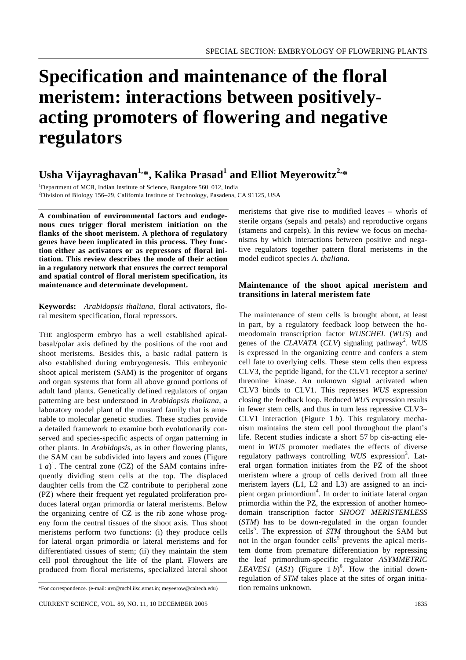# **Specification and maintenance of the floral meristem: interactions between positivelyacting promoters of flowering and negative regulators**

# **Usha Vijayraghavan1,\*, Kalika Prasad<sup>1</sup> and Elliot Meyerowitz2,\***

<sup>1</sup>Department of MCB, Indian Institute of Science, Bangalore 560 012, India <sup>2</sup>Division of Biology 156–29, California Institute of Technology, Pasadena, CA 91125, USA

**A combination of environmental factors and endogenous cues trigger floral meristem initiation on the flanks of the shoot meristem. A plethora of regulatory genes have been implicated in this process. They function either as activators or as repressors of floral initiation. This review describes the mode of their action in a regulatory network that ensures the correct temporal and spatial control of floral meristem specification, its maintenance and determinate development.**

**Keywords:** *Arabidopsis thaliana*, floral activators, floral mesitem specification, floral repressors.

THE angiosperm embryo has a well established apicalbasal/polar axis defined by the positions of the root and shoot meristems. Besides this, a basic radial pattern is also established during embryogenesis. This embryonic shoot apical meristem (SAM) is the progenitor of organs and organ systems that form all above ground portions of adult land plants. Genetically defined regulators of organ patterning are best understood in *Arabidopsis thaliana*, a laboratory model plant of the mustard family that is amenable to molecular genetic studies. These studies provide a detailed framework to examine both evolutionarily conserved and species-specific aspects of organ patterning in other plants. In *Arabidopsis*, as in other flowering plants, the SAM can be subdivided into layers and zones (Figure  $1 a)^{1}$ . The central zone (CZ) of the SAM contains infrequently dividing stem cells at the top. The displaced daughter cells from the CZ contribute to peripheral zone (PZ) where their frequent yet regulated proliferation produces lateral organ primordia or lateral meristems. Below the organizing centre of CZ is the rib zone whose progeny form the central tissues of the shoot axis. Thus shoot meristems perform two functions: (i) they produce cells for lateral organ primordia or lateral meristems and for differentiated tissues of stem; (ii) they maintain the stem cell pool throughout the life of the plant. Flowers are produced from floral meristems, specialized lateral shoot

meristems that give rise to modified leaves – whorls of sterile organs (sepals and petals) and reproductive organs (stamens and carpels). In this review we focus on mechanisms by which interactions between positive and negative regulators together pattern floral meristems in the model eudicot species *A. thaliana*.

## **Maintenance of the shoot apical meristem and transitions in lateral meristem fate**

The maintenance of stem cells is brought about, at least in part, by a regulatory feedback loop between the homeodomain transcription factor *WUSCHEL* (*WUS*) and genes of the *CLAVATA* (*CLV*) signaling pathway<sup>2</sup>. WUS is expressed in the organizing centre and confers a stem cell fate to overlying cells. These stem cells then express CLV3, the peptide ligand, for the CLV1 receptor a serine/ threonine kinase. An unknown signal activated when CLV3 binds to CLV1. This represses *WUS* expression closing the feedback loop. Reduced *WUS* expression results in fewer stem cells, and thus in turn less repressive CLV3– CLV1 interaction (Figure 1 *b*). This regulatory mechanism maintains the stem cell pool throughout the plant's life. Recent studies indicate a short 57 bp cis-acting element in *WUS* promoter mediates the effects of diverse regulatory pathways controlling WUS expression<sup>3</sup>. Lateral organ formation initiates from the PZ of the shoot meristem where a group of cells derived from all three meristem layers (L1, L2 and L3) are assigned to an incipient organ primordium<sup>4</sup>. In order to initiate lateral organ primordia within the PZ, the expression of another homeodomain transcription factor *SHOOT MERISTEMLESS* (*STM*) has to be down-regulated in the organ founder cells<sup>5</sup>. The expression of *STM* throughout the SAM but not in the organ founder cells<sup>5</sup> prevents the apical meristem dome from premature differentiation by repressing the leaf primordium-specific regulator *ASYMMETRIC LEAVES1* (*AS1*) (Figure 1 *b*) 6 . How the initial downregulation of *STM* takes place at the sites of organ initiation remains unknown.

<sup>\*</sup>For correspondence. (e-mail: uvr@mcbl.iisc.ernet.in; meyeerow@caltech.edu)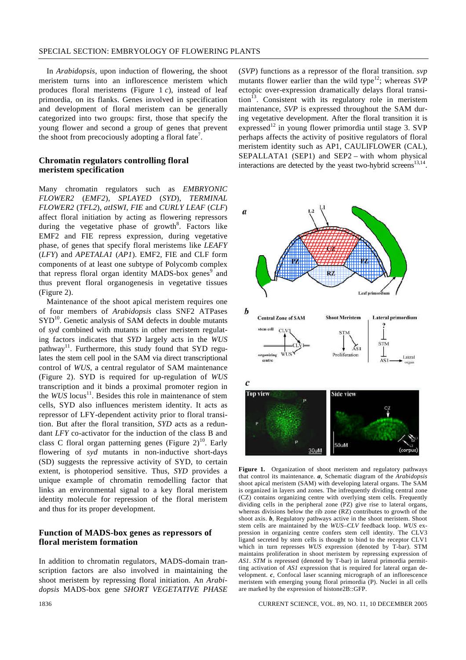In *Arabidopsis*, upon induction of flowering, the shoot meristem turns into an inflorescence meristem which produces floral meristems (Figure 1 *c*), instead of leaf primordia, on its flanks. Genes involved in specification and development of floral meristem can be generally categorized into two groups: first, those that specify the young flower and second a group of genes that prevent the shoot from precociously adopting a floral fate<sup>7</sup>.

#### **Chromatin regulators controlling floral meristem specification**

Many chromatin regulators such as *EMBRYONIC FLOWER2* (*EMF2*), *SPLAYED* (*SYD*), *TERMINAL FLOWER2* (*TFL2*), *atISWI*, *FIE* and *CURLY LEAF* (*CLF*) affect floral initiation by acting as flowering repressors during the vegetative phase of growth<sup>8</sup>. Factors like EMF2 and FIE repress expression, during vegetative phase, of genes that specify floral meristems like *LEAFY* (*LFY*) and *APETALA1* (*AP1*). EMF2, FIE and CLF form components of at least one subtype of Polycomb complex that repress floral organ identity MADS-box genes<sup>9</sup> and thus prevent floral organogenesis in vegetative tissues (Figure 2).

Maintenance of the shoot apical meristem requires one of four members of *Arabidopsis* class SNF2 ATPases  $SYD<sup>10</sup>$ . Genetic analysis of SAM defects in double mutants of *syd* combined with mutants in other meristem regulating factors indicates that *SYD* largely acts in the *WUS* pathway<sup>11</sup>. Furthermore, this study found that SYD regulates the stem cell pool in the SAM via direct transcriptional control of *WUS*, a central regulator of SAM maintenance (Figure 2). SYD is required for up-regulation of *WUS* transcription and it binds a proximal promoter region in the *WUS* locus<sup>11</sup>. Besides this role in maintenance of stem cells, SYD also influences meristem identity. It acts as repressor of LFY-dependent activity prior to floral transition. But after the floral transition, *SYD* acts as a redundant *LFY* co-activator for the induction of the class B and class C floral organ patterning genes (Figure  $2)^{10}$ . Early flowering of *syd* mutants in non-inductive short-days (SD) suggests the repressive activity of SYD, to certain extent, is photoperiod sensitive. Thus, *SYD* provides a unique example of chromatin remodelling factor that links an environmental signal to a key floral meristem identity molecule for repression of the floral meristem and thus for its proper development.

## **Function of MADS-box genes as repressors of floral meristem formation**

In addition to chromatin regulators, MADS-domain transcription factors are also involved in maintaining the shoot meristem by repressing floral initiation. An *Arabidopsis* MADS-box gene *SHORT VEGETATIVE PHASE* (*SVP*) functions as a repressor of the floral transition. *svp* mutants flower earlier than the wild type<sup>12</sup>; whereas *SVP* ectopic over-expression dramatically delays floral transi- $\[\text{tion}^{\[5\]}$ . Consistent with its regulatory role in meristem maintenance, *SVP* is expressed throughout the SAM during vegetative development. After the floral transition it is expressed<sup>12</sup> in young flower primordia until stage 3. SVP perhaps affects the activity of positive regulators of floral meristem identity such as AP1, CAULIFLOWER (CAL), SEPALLATA1 (SEP1) and SEP2 – with whom physical interactions are detected by the yeast two-hybrid screens $^{13,14}$ .



**Figure 1.** Organization of shoot meristem and regulatory pathways that control its maintenance. *a*, Schematic diagram of the *Arabidopsis* shoot apical meristem (SAM) with developing lateral organs. The SAM is organized in layers and zones. The infrequently dividing central zone (CZ) contains organizing centre with overlying stem cells. Frequently dividing cells in the peripheral zone (PZ) give rise to lateral organs, whereas divisions below the rib zone (RZ) contributes to growth of the shoot axis. *b*, Regulatory pathways active in the shoot meristem. Shoot stem cells are maintained by the *WUS–CLV* feedback loop. *WUS* expression in organizing centre confers stem cell identity. The CLV3 ligand secreted by stem cells is thought to bind to the receptor CLV1 which in turn represses *WUS* expression (denoted by T-bar). STM maintains proliferation in shoot meristem by repressing expression of *AS1*. *STM* is repressed (denoted by T-bar) in lateral primordia permitting activation of *AS1* expression that is required for lateral organ development. *c*, Confocal laser scanning micrograph of an inflorescence meristem with emerging young floral primordia (P). Nuclei in all cells are marked by the expression of histone2B::GFP.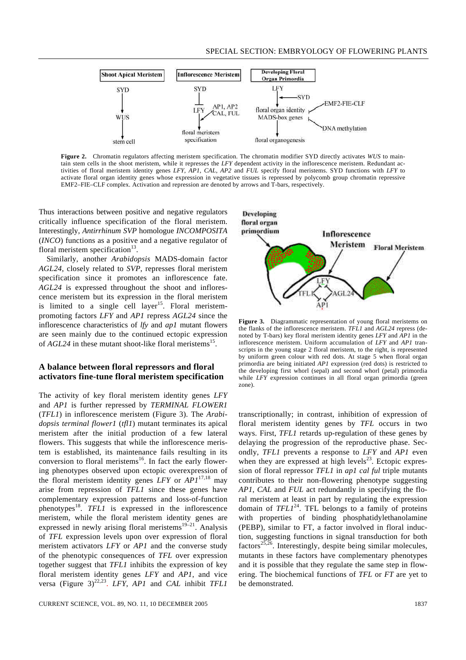

**Figure 2.** Chromatin regulators affecting meristem specification. The chromatin modifier SYD directly activates *WUS* to maintain stem cells in the shoot meristem, while it represses the *LFY* dependent activity in the inflorescence meristem. Redundant activities of floral meristem identity genes *LFY*, *AP1*, *CAL*, *AP2* and *FUL* specify floral meristems. SYD functions with *LFY* to activate floral organ identity genes whose expression in vegetative tissues is repressed by polycomb group chromatin repressive EMF2–FIE–CLF complex. Activation and repression are denoted by arrows and T-bars, respectively.

Thus interactions between positive and negative regulators critically influence specification of the floral meristem. Interestingly, *Antirrhinum SVP* homologue *INCOMPOSITA* (*INCO*) functions as a positive and a negative regulator of floral meristem specification $^{13}$ .

Similarly, another *Arabidopsis* MADS-domain factor *AGL24*, closely related to *SVP*, represses floral meristem specification since it promotes an inflorescence fate. *AGL24* is expressed throughout the shoot and inflorescence meristem but its expression in the floral meristem is limited to a single cell layer<sup>15</sup>. Floral meristempromoting factors *LFY* and *AP1* repress *AGL24* since the inflorescence characteristics of *lfy* and *ap1* mutant flowers are seen mainly due to the continued ectopic expression of  $AGL24$  in these mutant shoot-like floral meristems<sup>15</sup>.

#### **A balance between floral repressors and floral activators fine-tune floral meristem specification**

The activity of key floral meristem identity genes *LFY* and *AP1* is further repressed by *TERMINAL FLOWER1* (*TFL1*) in inflorescence meristem (Figure 3). The *Arabidopsis terminal flower1* (*tfl1*) mutant terminates its apical meristem after the initial production of a few lateral flowers. This suggests that while the inflorescence meristem is established, its maintenance fails resulting in its conversion to floral meristems<sup>16</sup>. In fact the early flowering phenotypes observed upon ectopic overexpression of the floral meristem identity genes *LFY* or  $API^{17,18}$  may arise from repression of *TFL1* since these genes have complementary expression patterns and loss-of-function phenotypes<sup>18</sup>. *TFL1* is expressed in the inflorescence meristem, while the floral meristem identity genes are expressed in newly arising floral meristems<sup>19–21</sup>. Analysis of *TFL* expression levels upon over expression of floral meristem activators *LFY* or *AP1* and the converse study of the phenotypic consequences of *TFL* over expression together suggest that *TFL1* inhibits the expression of key floral meristem identity genes *LFY* and *AP1*, and vice versa (Figure 3)<sup>22,23</sup>. *LFY*, *AP1* and *CAL* inhibit *TFL1* 



**Figure 3.** Diagrammatic representation of young floral meristems on the flanks of the inflorescence meristem. *TFL1* and *AGL24* repress (denoted by T-bars) key floral meristem identity genes *LFY* and *AP1* in the inflorescence meristem. Uniform accumulation of *LFY* and *AP1* transcripts in the young stage 2 floral meristem, to the right, is represented by uniform green colour with red dots. At stage 5 when floral organ primordia are being initiated *AP1* expression (red dots) is restricted to the developing first whorl (sepal) and second whorl (petal) primordia while *LFY* expression continues in all floral organ primordia (green zone).

transcriptionally; in contrast, inhibition of expression of floral meristem identity genes by *TFL* occurs in two ways. First, *TFL1* retards up-regulation of these genes by delaying the progression of the reproductive phase. Secondly, *TFL1* prevents a response to *LFY* and *AP1* even when they are expressed at high levels<sup>23</sup>. Ectopic expression of floral repressor *TFL1* in *ap1 cal ful* triple mutants contributes to their non-flowering phenotype suggesting *AP1*, *CAL* and *FUL* act redundantly in specifying the floral meristem at least in part by regulating the expression domain of  $TFL1^{24}$ . TFL belongs to a family of proteins with properties of binding phosphatidylethanolamine (PEBP), similar to FT, a factor involved in floral induction, suggesting functions in signal transduction for both factors<sup>25,26</sup>. Interestingly, despite being similar molecules, mutants in these factors have complementary phenotypes and it is possible that they regulate the same step in flowering. The biochemical functions of *TFL* or *FT* are yet to be demonstrated.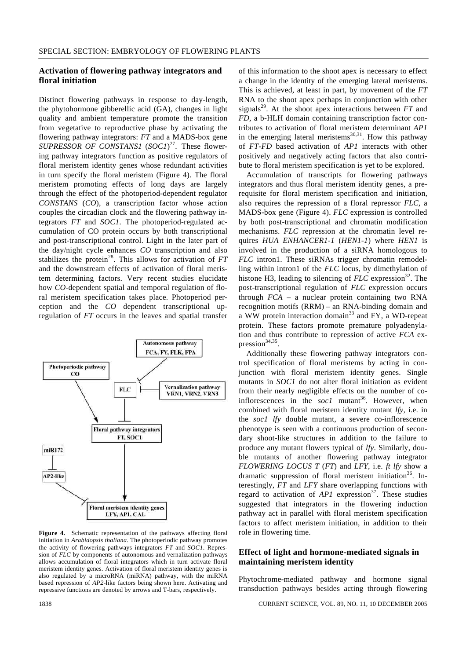#### **Activation of flowering pathway integrators and floral initiation**

Distinct flowering pathways in response to day-length, the phytohormone gibberellic acid (GA), changes in light quality and ambient temperature promote the transition from vegetative to reproductive phase by activating the flowering pathway integrators: *FT* and a MADS-box gene *SUPRESSOR OF CONSTANS1* (*SOC1*) 27 . These flowering pathway integrators function as positive regulators of floral meristem identity genes whose redundant activities in turn specify the floral meristem (Figure 4). The floral meristem promoting effects of long days are largely through the effect of the photoperiod-dependent regulator *CONSTANS* (*CO*), a transcription factor whose action couples the circadian clock and the flowering pathway integrators *FT* and *SOC1*. The photoperiod-regulated accumulation of CO protein occurs by both transcriptional and post-transcriptional control. Light in the later part of the day/night cycle enhances *CO* transcription and also stabilizes the protein<sup>28</sup>. This allows for activation of FT and the downstream effects of activation of floral meristem determining factors. Very recent studies elucidate how *CO*-dependent spatial and temporal regulation of floral meristem specification takes place. Photoperiod perception and the *CO* dependent transcriptional upregulation of *FT* occurs in the leaves and spatial transfer



**Figure 4.** Schematic representation of the pathways affecting floral initiation in *Arabidopsis thaliana*. The photoperiodic pathway promotes the activity of flowering pathways integrators *FT* and *SOC1*. Repression of *FLC* by components of autonomous and vernalization pathways allows accumulation of floral integrators which in turn activate floral meristem identity genes. Activation of floral meristem identity genes is also regulated by a microRNA (miRNA) pathway, with the miRNA based repression of *AP2-*like factors being shown here. Activating and repressive functions are denoted by arrows and T-bars, respectively.

of this information to the shoot apex is necessary to effect a change in the identity of the emerging lateral meristems. This is achieved, at least in part, by movement of the *FT* RNA to the shoot apex perhaps in conjunction with other signals<sup>29</sup>. At the shoot apex interactions between  $FT$  and *FD,* a b-HLH domain containing transcription factor contributes to activation of floral meristem determinant *AP1* in the emerging lateral meristems<sup>30,31</sup>. How this pathway of *FT-FD* based activation of *AP1* interacts with other positively and negatively acting factors that also contribute to floral meristem specification is yet to be explored.

Accumulation of transcripts for flowering pathways integrators and thus floral meristem identity genes, a prerequisite for floral meristem specification and initiation, also requires the repression of a floral repressor *FLC,* a MADS-box gene (Figure 4). *FLC* expression is controlled by both post-transcriptional and chromatin modification mechanisms. *FLC* repression at the chromatin level requires *HUA ENHANCER1-1* (*HEN1-1*) where *HEN1* is involved in the production of a siRNA homologous to *FLC* intron1. These siRNAs trigger chromatin remodelling within intron1 of the *FLC* locus, by dimethylation of histone H3, leading to silencing of  $FLC$  expression<sup>32</sup>. The post-transcriptional regulation of *FLC* expression occurs through *FCA* – a nuclear protein containing two RNA recognition motifs (RRM) – an RNA-binding domain and a WW protein interaction domain<sup>33</sup> and FY, a WD-repeat protein. These factors promote premature polyadenylation and thus contribute to repression of active *FCA* expression $34,35$ .

Additionally these flowering pathway integrators control specification of floral meristems by acting in conjunction with floral meristem identity genes. Single mutants in *SOC1* do not alter floral initiation as evident from their nearly negligible effects on the number of coinflorescences in the  $soc1$  mutant<sup>36</sup>. However, when combined with floral meristem identity mutant *lfy*, i.e. in the *soc1 lfy* double mutant, a severe co-inflorescence phenotype is seen with a continuous production of secondary shoot-like structures in addition to the failure to produce any mutant flowers typical of *lfy*. Similarly, double mutants of another flowering pathway integrator *FLOWERING LOCUS T* (*FT*) and *LFY*, i.e. *ft lfy* show a dramatic suppression of floral meristem initiation<sup>36</sup>. Interestingly, *FT* and *LFY* share overlapping functions with regard to activation of  $API$  expression<sup>37</sup>. These studies suggested that integrators in the flowering induction pathway act in parallel with floral meristem specification factors to affect meristem initiation, in addition to their role in flowering time.

# **Effect of light and hormone-mediated signals in maintaining meristem identity**

Phytochrome-mediated pathway and hormone signal transduction pathways besides acting through flowering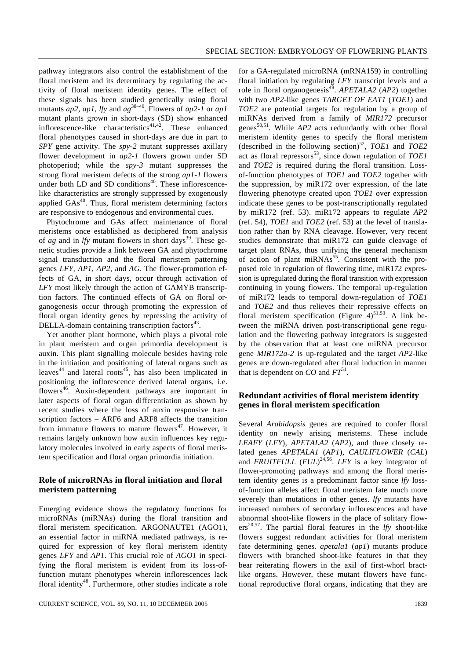pathway integrators also control the establishment of the floral meristem and its determinacy by regulating the activity of floral meristem identity genes. The effect of these signals has been studied genetically using floral mutants *ap2, ap1*, *lfy* and *ag* 38–40. Flowers of *ap2-1* or *ap1* mutant plants grown in short-days (SD) show enhanced inflorescence-like characteristics<sup>41,42</sup>. These enhanced floral phenotypes caused in short-days are due in part to *SPY* gene activity. The *spy-2* mutant suppresses axillary flower development in *ap2-1* flowers grown under SD photoperiod; while the *spy-3* mutant suppresses the strong floral meristem defects of the strong *ap1-1* flowers under both LD and SD conditions $40$ . These inflorescencelike characteristics are strongly suppressed by exogenously applied  $GAs<sup>40</sup>$ . Thus, floral meristem determining factors are responsive to endogenous and environmental cues.

Phytochrome and GAs affect maintenance of floral meristems once established as deciphered from analysis of *ag* and in *lfy* mutant flowers in short days<sup>39</sup>. These genetic studies provide a link between GA and phytochrome signal transduction and the floral meristem patterning genes *LFY*, *AP1*, *AP2*, and *AG*. The flower-promotion effects of GA, in short days, occur through activation of *LFY* most likely through the action of GAMYB transcription factors. The continued effects of GA on floral organogenesis occur through promoting the expression of floral organ identity genes by repressing the activity of DELLA-domain containing transcription factors $43$ .

Yet another plant hormone, which plays a pivotal role in plant meristem and organ primordia development is auxin. This plant signalling molecule besides having role in the initiation and positioning of lateral organs such as leaves<sup>44</sup> and lateral roots<sup>45</sup>, has also been implicated in positioning the inflorescence derived lateral organs, i.e. flowers<sup>46</sup>. Auxin-dependent pathways are important in later aspects of floral organ differentiation as shown by recent studies where the loss of auxin responsive transcription factors – ARF6 and ARF8 affects the transition from immature flowers to mature flowers<sup>47</sup>. However, it remains largely unknown how auxin influences key regulatory molecules involved in early aspects of floral meristem specification and floral organ primordia initiation.

# **Role of microRNAs in floral initiation and floral meristem patterning**

Emerging evidence shows the regulatory functions for microRNAs (miRNAs) during the floral transition and floral meristem specification. ARGONAUTE1 (AGO1), an essential factor in miRNA mediated pathways, is required for expression of key floral meristem identity genes *LFY* and *AP1*. This crucial role of *AGO1* in specifying the floral meristem is evident from its loss-offunction mutant phenotypes wherein inflorescences lack floral identity<sup>48</sup>. Furthermore, other studies indicate a role

for a GA-regulated microRNA (mRNA159) in controlling floral initiation by regulating *LFY* transcript levels and a role in floral organogenesis<sup>49</sup>. *APETALA2* (*AP2*) together with two *AP2*-like genes *TARGET OF EAT1* (*TOE1*) and *TOE2* are potential targets for regulation by a group of miRNAs derived from a family of *MIR172* precursor genes<sup>50,51</sup>. While  $AP2$  acts redundantly with other floral meristem identity genes to specify the floral meristem (described in the following section)<sup>52</sup>, *TOE1* and *TOE2* act as floral repressors<sup>53</sup>, since down regulation of *TOE1* and *TOE2* is required during the floral transition. Lossof-function phenotypes of *TOE1* and *TOE2* together with the suppression, by miR172 over expression, of the late flowering phenotype created upon *TOE1* over expression indicate these genes to be post-transcriptionally regulated by miR172 (ref. 53). miR172 appears to regulate *AP2*  (ref. 54), *TOE1* and *TOE2* (ref. 53) at the level of translation rather than by RNA cleavage. However, very recent studies demonstrate that miR172 can guide cleavage of target plant RNAs, thus unifying the general mechanism of action of plant  $\frac{1}{2}$  mir $\frac{1}{2}$  consistent with the proposed role in regulation of flowering time, miR172 expression is upregulated during the floral transition with expression continuing in young flowers. The temporal up-regulation of miR172 leads to temporal down-regulation of *TOE1* and *TOE2* and thus relieves their repressive effects on floral meristem specification (Figure  $4$ )<sup>51,53</sup>. A link between the miRNA driven post-transcriptional gene regulation and the flowering pathway integrators is suggested by the observation that at least one miRNA precursor gene *MIR172a-2* is up-regulated and the target *AP2*-like genes are down-regulated after floral induction in manner that is dependent on  $CO$  and  $FT^{51}$ .

## **Redundant activities of floral meristem identity genes in floral meristem specification**

Several *Arabidopsis* genes are required to confer floral identity on newly arising meristems. These include *LEAFY* (*LFY*), *APETALA2* (*AP2*), and three closely related genes *APETALA1* (*AP1*), *CAULIFLOWER* (*CAL*) and *FRUITFULL* (*FUL*) 24,56 . *LFY* is a key integrator of flower-promoting pathways and among the floral meristem identity genes is a predominant factor since *lfy* lossof-function alleles affect floral meristem fate much more severely than mutations in other genes. *lfy* mutants have increased numbers of secondary inflorescences and have abnormal shoot-like flowers in the place of solitary flow $ers^{20,57}$ . The partial floral features in the *lfy* shoot-like flowers suggest redundant activities for floral meristem fate determining genes. *apetala1* (*ap1*) mutants produce flowers with branched shoot-like features in that they bear reiterating flowers in the axil of first-whorl bractlike organs. However, these mutant flowers have functional reproductive floral organs, indicating that they are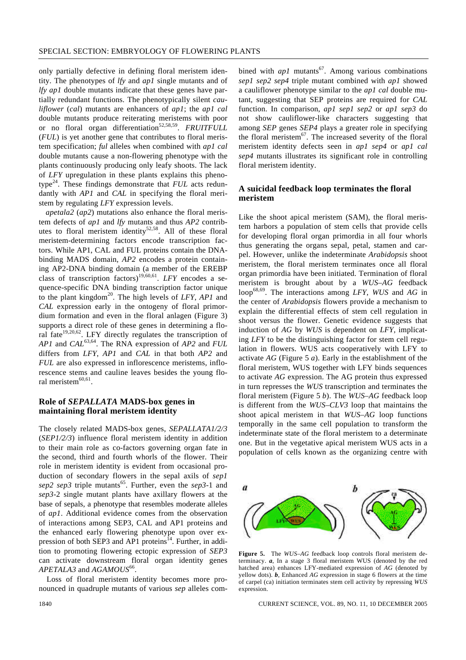only partially defective in defining floral meristem identity. The phenotypes of *lfy* and *ap1* single mutants and of *lfy ap1* double mutants indicate that these genes have partially redundant functions. The phenotypically silent *cauliflower* (*cal*) mutants are enhancers of *ap1*; the *ap1 cal* double mutants produce reiterating meristems with poor or no floral organ differentiation<sup>52,58,59</sup>. FRUITFULL (*FUL*) is yet another gene that contributes to floral meristem specification; *ful* alleles when combined with *ap1 cal* double mutants cause a non-flowering phenotype with the plants continuously producing only leafy shoots. The lack of *LFY* upregulation in these plants explains this phenotype<sup>24</sup>. These findings demonstrate that *FUL* acts redundantly with *AP1* and *CAL* in specifying the floral meristem by regulating *LFY* expression levels.

*apetala2* (*ap2*) mutations also enhance the floral meristem defects of *ap1* and *lfy* mutants and thus *AP2* contributes to floral meristem identity<sup>52,58</sup>. All of these floral meristem-determining factors encode transcription factors. While AP1, CAL and FUL proteins contain the DNAbinding MADS domain, *AP2* encodes a protein containing AP2-DNA binding domain (a member of the EREBP class of transcription factors)<sup>19,60,61</sup>. *LFY* encodes a sequence-specific DNA binding transcription factor unique to the plant kingdom<sup>20</sup>. The high levels of *LFY*, *AP1* and *CAL* expression early in the ontogeny of floral primordium formation and even in the floral anlagen (Figure 3) supports a direct role of these genes in determining a floral fate<sup>19,20,62</sup>. LFY directly regulates the transcription of *AP1* and *CAL*63,64. The RNA expression of *AP2* and *FUL* differs from *LFY*, *AP1* and *CAL* in that both *AP2* and *FUL* are also expressed in inflorescence meristems, inflorescence stems and cauline leaves besides the young floral meristem<sup>60,61</sup>.

## **Role of** *SEPALLATA* **MADS-box genes in maintaining floral meristem identity**

The closely related MADS-box genes, *SEPALLATA1/2/3* (*SEP1/2/3*) influence floral meristem identity in addition to their main role as co-factors governing organ fate in the second, third and fourth whorls of the flower. Their role in meristem identity is evident from occasional production of secondary flowers in the sepal axils of *sep1 sep2 sep3* triple mutants<sup>65</sup>. Further, even the *sep3*-1 and *sep3*-2 single mutant plants have axillary flowers at the base of sepals, a phenotype that resembles moderate alleles of *ap1*. Additional evidence comes from the observation of interactions among SEP3, CAL and AP1 proteins and the enhanced early flowering phenotype upon over expression of both SEP3 and AP1 proteins<sup>14</sup>. Further, in addition to promoting flowering ectopic expression of *SEP3* can activate downstream floral organ identity genes APETALA3 and *AGAMOUS*<sup>66</sup>.

Loss of floral meristem identity becomes more pronounced in quadruple mutants of various *sep* alleles com-

bined with  $ap1$  mutants<sup>67</sup>. Among various combinations *sep1 sep2 sep4* triple mutant combined with *ap1* showed a cauliflower phenotype similar to the *ap1 cal* double mutant, suggesting that SEP proteins are required for *CAL* function. In comparison, *ap1 sep1 sep2* or *ap1 sep3* do not show cauliflower-like characters suggesting that among *SEP* genes *SEP4* plays a greater role in specifying the floral meristem $67$ . The increased severity of the floral meristem identity defects seen in *ap1 sep4* or *ap1 cal sep4* mutants illustrates its significant role in controlling floral meristem identity.

#### **A suicidal feedback loop terminates the floral meristem**

Like the shoot apical meristem (SAM), the floral meristem harbors a population of stem cells that provide cells for developing floral organ primordia in all four whorls thus generating the organs sepal, petal, stamen and carpel. However, unlike the indeterminate *Arabidopsis* shoot meristem, the floral meristem terminates once all floral organ primordia have been initiated. Termination of floral meristem is brought about by a *WUS–AG* feedback loop68,69. The interactions among *LFY*, *WUS* and *AG* in the center of *Arabidopsis* flowers provide a mechanism to explain the differential effects of stem cell regulation in shoot versus the flower. Genetic evidence suggests that induction of *AG* by *WUS* is dependent on *LFY*, implicating *LFY* to be the distinguishing factor for stem cell regulation in flowers. WUS acts cooperatively with LFY to activate *AG* (Figure 5 *a*). Early in the establishment of the floral meristem, WUS together with LFY binds sequences to activate *AG* expression. The AG protein thus expressed in turn represses the *WUS* transcription and terminates the floral meristem (Figure 5 *b*). The *WUS*–*AG* feedback loop is different from the *WUS*–*CLV3* loop that maintains the shoot apical meristem in that *WUS–AG* loop functions temporally in the same cell population to transform the indeterminate state of the floral meristem to a determinate one. But in the vegetative apical meristem WUS acts in a population of cells known as the organizing centre with



**Figure 5.** The *WUS–AG* feedback loop controls floral meristem determinacy. *a*, In a stage 3 floral meristem WUS (denoted by the red hatched area) enhances LFY-mediated expression of *AG* (denoted by yellow dots). *b*, Enhanced *AG* expression in stage 6 flowers at the time of carpel (ca) initiation terminates stem cell activity by repressing *WUS* expression.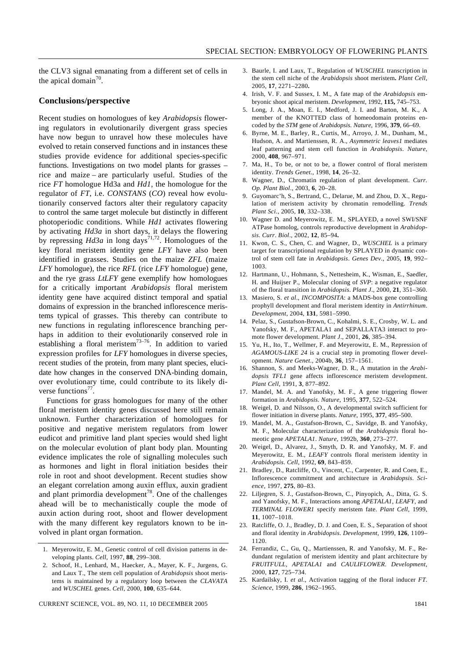the CLV3 signal emanating from a different set of cells in the apical domain<sup>70</sup>.

#### **Conclusions/perspective**

Recent studies on homologues of key *Arabidopsis* flowering regulators in evolutionarily divergent grass species have now begun to unravel how these molecules have evolved to retain conserved functions and in instances these studies provide evidence for additional species-specific functions. Investigations on two model plants for grasses – rice and maize – are particularly useful. Studies of the rice *FT* homologue Hd3a and *Hd1*, the homologue for the regulator of *FT*, i.e. *CONSTANS* (*CO*) reveal how evolutionarily conserved factors alter their regulatory capacity to control the same target molecule but distinctly in different photoperiodic conditions. While *Hd1* activates flowering by activating *Hd3a* in short days, it delays the flowering by repressing  $Hd3a$  in long days<sup>71,72</sup>. Homologues of the key floral meristem identity gene *LFY* have also been identified in grasses. Studies on the maize *ZFL* (maize *LFY* homologue), the rice *RFL* (rice *LFY* homologue) gene, and the rye grass *LtLFY* gene exemplify how homologues for a critically important *Arabidopsis* floral meristem identity gene have acquired distinct temporal and spatial domains of expression in the branched inflorescence meristems typical of grasses. This thereby can contribute to new functions in regulating inflorescence branching perhaps in addition to their evolutionarily conserved role in establishing a floral meristem<sup>73-76</sup>. In addition to varied expression profiles for *LFY* homologues in diverse species, recent studies of the protein, from many plant species, elucidate how changes in the conserved DNA-binding domain, over evolutionary time, could contribute to its likely diverse functions<sup>77</sup>.

Functions for grass homologues for many of the other floral meristem identity genes discussed here still remain unknown. Further characterization of homologues for positive and negative meristem regulators from lower eudicot and primitive land plant species would shed light on the molecular evolution of plant body plan. Mounting evidence implicates the role of signalling molecules such as hormones and light in floral initiation besides their role in root and shoot development. Recent studies show an elegant correlation among auxin efflux, auxin gradient and plant primordia development<sup>78</sup>. One of the challenges ahead will be to mechanistically couple the mode of auxin action during root, shoot and flower development with the many different key regulators known to be involved in plant organ formation.

- 3. Baurle, I. and Laux, T., Regulation of *WUSCHEL* transcription in the stem cell niche of the *Arabidopsis* shoot meristem**.** *Plant Cell*, 2005, **17**, 2271–2280**.**
- 4. Irish, V. F. and Sussex, I. M., A fate map of the *Arabidopsis* embryonic shoot apical meristem. *Development*, 1992, **115,** 745–753.
- 5. Long, J. A., Moan, E. I., Medford, J. I. and Barton, M. K., A member of the KNOTTED class of homeodomain proteins encoded by the *STM* gene of *Arabidopsis*. *Nature*, 1996, **379**, 66–69.
- 6. Byrne, M. E., Barley, R., Curtis, M., Arroyo, J. M., Dunham, M., Hudson, A. and Martienssen, R. A., *Asymmetric leaves1* mediates leaf patterning and stem cell function in *Arabidopsis*. *Nature*, 2000, **408**, 967–971.
- 7. Ma, H., To be, or not to be, a flower control of floral meristem identity. *Trends Genet*., 1998, **14**, 26–32.
- 8. Wagner, D., Chromatin regulation of plant development. *Curr. Op. Plant Biol*., 2003, **6**, 20–28.
- 9. Guyomarc'h, S., Bertrand, C., Delarue, M. and Zhou, D. X., Regulation of meristem activity by chromatin remodelling. *Trends Plant Sci*., 2005, **10**, 332–338.
- 10. Wagner D. and Meyerowitz, E. M., SPLAYED, a novel SWI/SNF ATPase homolog, controls reproductive development in *Arabidopsis*. *Curr*. *Biol*., 2002, **12**, 85–94**.**
- 11. Kwon, C. S., Chen, C. and Wagner, D., *WUSCHEL* is a primary target for transcriptional regulation by SPLAYED in dynamic control of stem cell fate in *Arabidopsis*. *Genes Dev*., 2005, **19**, 992– 1003.
- 12. Hartmann, U., Hohmann, S., Nettesheim, K., Wisman, E., Saedler, H. and Huijser P., Molecular cloning of *SVP*: a negative regulator of the floral transition in *Arabidopsis*. *Plant J*., 2000, **21**, 351–360.
- 13. Masiero, S. *et al*., *INCOMPOSITA*: a MADS-box gene controlling prophyll development and floral meristem identity in *Antirrhinum*. *Development*, 2004, **131**, 5981–5990.
- 14. Pelaz, S., Gustafson-Brown, C., Kohalmi, S. E., Crosby, W. L. and Yanofsky, M. F., APETALA1 and SEPALLATA3 interact to promote flower development. *Plant J*., 2001, **26**, 385–394.
- 15. Yu, H., Ito, T., Wellmer, F. and Meyerowitz, E. M., Repression of *AGAMOUS-LIKE 24* is a crucial step in promoting flower development. *Nature Genet*., 2004b, **36**, 157–1561.
- 16. Shannon, S. and Meeks-Wagner, D. R., A mutation in the *Arabidopsis TFL1* gene affects inflorescence meristem development. *Plant Cell*, 1991, **3**, 877–892.
- 17. Mandel, M. A. and Yanofsky, M. F., A gene triggering flower formation in *Arabidopsis*. *Nature*, 1995, **377**, 522–524.
- 18. Weigel, D. and Nilsson, O., A developmental switch sufficient for flower initiation in diverse plants. *Nature*, 1995, **377**, 495–500.
- 19. Mandel, M. A., Gustafson-Brown, C., Savidge, B. and Yanofsky, M. F., Molecular characterization of the *Arabidopsis* floral homeotic gene *APETALA1*. *Nature*, 1992b, **360**, 273–277.
- 20. Weigel, D., Alvarez, J., Smyth, D. R. and Yanofsky, M. F. and Meyerowitz, E. M., *LEAFY* controls floral meristem identity in *Arabidopsis*. *Cell*, 1992, **69**, 843–859.
- 21. Bradley, D., Ratcliffe, O., Vincent, C., Carpenter, R. and Coen, E., Inflorescence commitment and architecture in *Arabidopsis. Science*, 1997, **275**, 80–83.
- 22. Liljegren, S. J., Gustafson-Brown, C., Pinyopich, A., Ditta, G. S. and Yanofsky, M. F., Interactions among *APETALA1*, *LEAFY*, and *TERMINAL FLOWER1* specify meristem fate. *Plant Cell*, 1999, **11**, 1007–1018.
- 23. Ratcliffe, O. J., Bradley, D. J. and Coen, E. S., Separation of shoot and floral identity in *Arabidopsis*. *Development*, 1999, **126**, 1109– 1120.
- 24. Ferrandiz, C., Gu, Q., Martienssen, R. and Yanofsky, M. F., Redundant regulation of meristem identity and plant architecture by *FRUITFULL*, *APETALA1* and *CAULIFLOWER*. *Development*, 2000, **127**, 725–734.
- 25. Kardailsky, I. *et al*., Activation tagging of the floral inducer *FT*. *Science*, 1999, **286**, 1962–1965.

<sup>1.</sup> Meyerowitz, E. M., Genetic control of cell division patterns in developing plants. *Cell*, 1997, **88**, 299–308.

<sup>2.</sup> Schoof, H., Lenhard, M., Haecker, A., Mayer, K. F., Jurgens, G. and Laux T., The stem cell population of *Arabidopsis* shoot meristems is maintained by a regulatory loop between the *CLAVATA* and *WUSCHEL* genes. *Cell*, 2000, **100**, 635–644.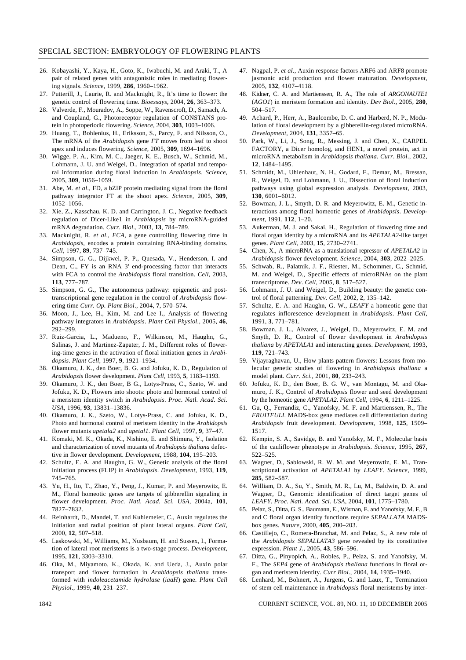- 26. Kobayashi, Y., Kaya, H., Goto, K., Iwabuchi, M. and Araki, T., A pair of related genes with antagonistic roles in mediating flowering signals. *Science*, 1999, **286**, 1960–1962.
- 27. Putterill, J., Laurie, R. and Macknight, R., It's time to flower: the genetic control of flowering time. *Bioessays*, 2004, **26**, 363–373.
- 28. Valverde, F., Mouradov, A., Soppe, W., Ravenscroft, D., Samach, A. and Coupland, G., Photoreceptor regulation of CONSTANS protein in photoperiodic flowering. *Science*, 2004, **303**, 1003–1006.
- 29. Huang, T., Bohlenius, H., Eriksson, S., Parcy, F. and Nilsson, O., The mRNA of the *Arabidopsis* gene *FT* moves from leaf to shoot apex and induces flowering. *Science*, 2005, **309**, 1694–1696.
- 30. Wigge, P. A., Kim, M. C., Jaeger, K. E., Busch, W., Schmid, M., Lohmann, J. U. and Weigel, D., Integration of spatial and temporal information during floral induction in *Arabidopsis*. *Science*, 2005, **309**, 1056–1059.
- 31. Abe, M. *et al*., FD, a bZIP protein mediating signal from the floral pathway integrator FT at the shoot apex. *Science*, 2005, **309**, 1052–1056.
- 32. Xie, Z., Kasschau, K. D. and Carrington, J. C., Negative feedback regulation of Dicer-Like1 in *Arabidopsis* by microRNA-guided mRNA degradation. *Curr. Biol*., 2003, **13**, 784–789.
- 33. Macknight, R. *et al*., *FCA*, a gene controlling flowering time in *Arabidopsis*, encodes a protein containing RNA-binding domains. *Cell*, 1997, **89**, 737–745.
- 34. Simpson, G. G., Dijkwel, P. P., Quesada, V., Henderson, I. and Dean, C., FY is an RNA 3' end-processing factor that interacts with FCA to control the *Arabidopsis* floral transition. *Cell*, 2003, **113**, 777–787.
- 35. Simpson, G. G., The autonomous pathway: epigenetic and posttranscriptional gene regulation in the control of *Arabidopsis* flowering time *Curr. Op. Plant Biol*., 2004, **7**, 570–574.
- 36. Moon, J., Lee, H., Kim, M. and Lee I., Analysis of flowering pathway integrators in *Arabidopsis*. *Plant Cell Physiol*., 2005, **46**, 292–299.
- 37. Ruiz-Garcia, L., Madueno, F., Wilkinson, M., Haughn, G., Salinas, J. and Martinez-Zapater, J. M., Different roles of flowering-time genes in the activation of floral initiation genes in *Arabidopsis*. *Plant Cell*, 1997, **9**, 1921–1934.
- 38. Okamuro, J. K., den Boer, B. G. and Jofuku, K. D., Regulation of *Arabidopsis* flower development. *Plant Cell*, 1993, **5**, 1183–1193.
- 39. Okamuro, J. K., den Boer, B G., Lotys-Prass, C., Szeto, W. and Jofuku, K. D., Flowers into shoots: photo and hormonal control of a meristem identity switch in *Arabidopsis*. *Proc. Natl. Acad. Sci. USA*, 1996, **93**, 13831–13836.
- 40. Okamuro, J. K., Szeto, W., Lotys-Prass, C. and Jofuku, K. D., Photo and hormonal control of meristem identity in the *Arabidopsis* flower mutants *apetala2* and *apetal1*. *Plant Cell*, 1997, **9**, 37–47.
- 41. Komaki, M. K., Okada, K., Nishino, E. and Shimura, Y., Isolation and characterization of novel mutants of *Arabidopsis thaliana* defective in flower development. *Development*, 1988, **104**, 195–203.
- 42. Schultz, E. A. and Haughn, G. W., Genetic analysis of the floral initiation process (FLIP) in *Arabidopsis*. *Development*, 1993, **119**, 745–765.
- 43. Yu, H., Ito, T., Zhao, Y., Peng, J., Kumar, P. and Meyerowitz, E. M., Floral homeotic genes are targets of gibberellin signaling in flower development. *Proc. Natl. Acad. Sci. USA*, 2004a, **101**, 7827–7832.
- 44. Reinhardt, D., Mandel, T. and Kuhlemeier, C., Auxin regulates the initiation and radial position of plant lateral organs. *Plant Cell*, 2000, **12**, 507–518.
- 45. Laskowski, M., Williams, M., Nusbaum, H. and Sussex, I., Formation of lateral root meristems is a two-stage process. *Development*, 1995, **121**, 3303–3310.
- 46. Oka, M., Miyamoto, K., Okada, K. and Ueda, J., Auxin polar transport and flower formation in *Arabidopsis thaliana* transformed with *indoleacetamide hydrolase* (*iaaH*) gene. *Plant Cell Physiol*., 1999, **40**, 231–237.
- 47. Nagpal, P. *et al*., Auxin response factors ARF6 and ARF8 promote jasmonic acid production and flower maturation. *Development*, 2005, **132**, 4107–4118.
- 48. Kidner, C. A. and Martienssen, R. A., The role of *ARGONAUTE1* (*AGO1*) in meristem formation and identity. *Dev Biol*., 2005, **280**, 504–517.
- 49. Achard, P., Herr, A., Baulcombe, D. C. and Harberd, N. P., Modulation of floral development by a gibberellin-regulated microRNA. *Development*, 2004, **131**, 3357–65.
- 50. Park, W., Li, J., Song, R., Messing, J. and Chen, X., CARPEL FACTORY, a Dicer homolog, and HEN1, a novel protein, act in microRNA metabolism in *Arabidopsis thaliana*. *Curr*. *Biol*., 2002, **12**, 1484–1495.
- 51. Schmidt, M., Uhlenhaut, N. H., Godard, F., Demar, M., Bressan, R., Weigel, D. and Lohmann, J. U., Dissection of floral induction pathways using global expression analysis. *Development*, 2003, **130**, 6001–6012.
- 52. Bowman, J. L., Smyth, D. R. and Meyerowitz, E. M., Genetic interactions among floral homeotic genes of *Arabidopsis*. *Development*, 1991, **112**, 1–20.
- 53. Aukerman, M. J. and Sakai, H., Regulation of flowering time and floral organ identity by a microRNA and its *APETALA2*-like target genes. *Plant Cell*, 2003, **15**, 2730–2741.
- 54. Chen, X., A microRNA as a translational repressor of *APETALA2* in *Arabidopsis* flower development. *Science*, 2004, **303**, 2022–2025.
- 55. Schwab, R., Palatnik, J. F., Riester, M., Schommer, C., Schmid, M. and Weigel, D., Specific effects of microRNAs on the plant transcriptome. *Dev*. *Cell*, 2005, **8**, 517–527.
- 56. Lohmann, J. U. and Weigel, D., Building beauty: the genetic control of floral patterning. *Dev*. *Cell*, 2002, **2**, 135–142.
- 57. Schultz, E. A. and Haughn, G. W., *LEAFY* a homeotic gene that regulates inflorescence development in *Arabidopsis*. *Plant Cell*, 1991, **3**, 771–781.
- 58. Bowman, J. L., Alvarez, J., Weigel, D., Meyerowitz, E. M. and Smyth, D. R., Control of flower development in *Arabidopsis thaliana* by *APETALA1* and interacting genes. *Development*, 1993, **119**, 721–743.
- 59. Vijayraghavan, U., How plants pattern flowers: Lessons from molecular genetic studies of flowering in *Arabidopsis thaliana* a model plant. *Curr*. *Sci.*, 2001, **80**, 233–243.
- 60. Jofuku, K. D., den Boer, B. G. W., van Montagu, M. and Okamuro, J. K., Control of *Arabidopsis* flower and seed development by the homeotic gene *APETALA2*. *Plant Cell*, 1994, **6**, 1211–1225.
- 61. Gu, Q., Ferrandiz, C., Yanofsky, M. F. and Martienssen, R., The *FRUITFULL* MADS-box gene mediates cell differentiation during *Arabidopsis* fruit development. *Development*, 1998, **125**, 1509– 1517.
- 62. Kempin, S. A., Savidge, B. and Yanofsky, M. F., Molecular basis of the cauliflower phenotype in *Arabidopsis*. *Science*, 1995, **267**, 522–525.
- 63. Wagner, D., Sablowski, R. W. M. and Meyerowtiz, E. M., Transcriptional activation of *APETALA1* by *LEAFY*. *Science*, 1999, **285**, 582–587.
- 64. William, D. A., Su, Y., Smith, M. R., Lu, M., Baldwin, D. A. and Wagner, D., Genomic identification of direct target genes of *LEAFY*. *Proc. Natl. Acad. Sci. USA*, 2004, **101**, 1775–1780.
- 65. Pelaz, S., Ditta, G. S., Baumann, E., Wisman, E. and Yanofsky, M. F., B and C floral organ identity functions require *SEPALLATA* MADSbox genes. *Nature*, 2000, **405**, 200–203.
- 66. Castillejo, C., Romera-Branchat, M. and Pelaz, S., A new role of the *Arabidopsis SEPALLATA3* gene revealed by its constitutive expression. *Plant J*., 2005, **43**, 586–596.
- 67. Ditta, G., Pinyopich, A., Robles, P., Pelaz, S. and Yanofsky, M. F., The *SEP4* gene of *Arabidopsis thaliana* functions in floral organ and meristem identity. *Curr Biol*., 2004, **14**, 1935–1940.
- 68. Lenhard, M., Bohnert, A., Jurgens, G. and Laux, T., Termination of stem cell maintenance in *Arabidopsis* floral meristems by inter-